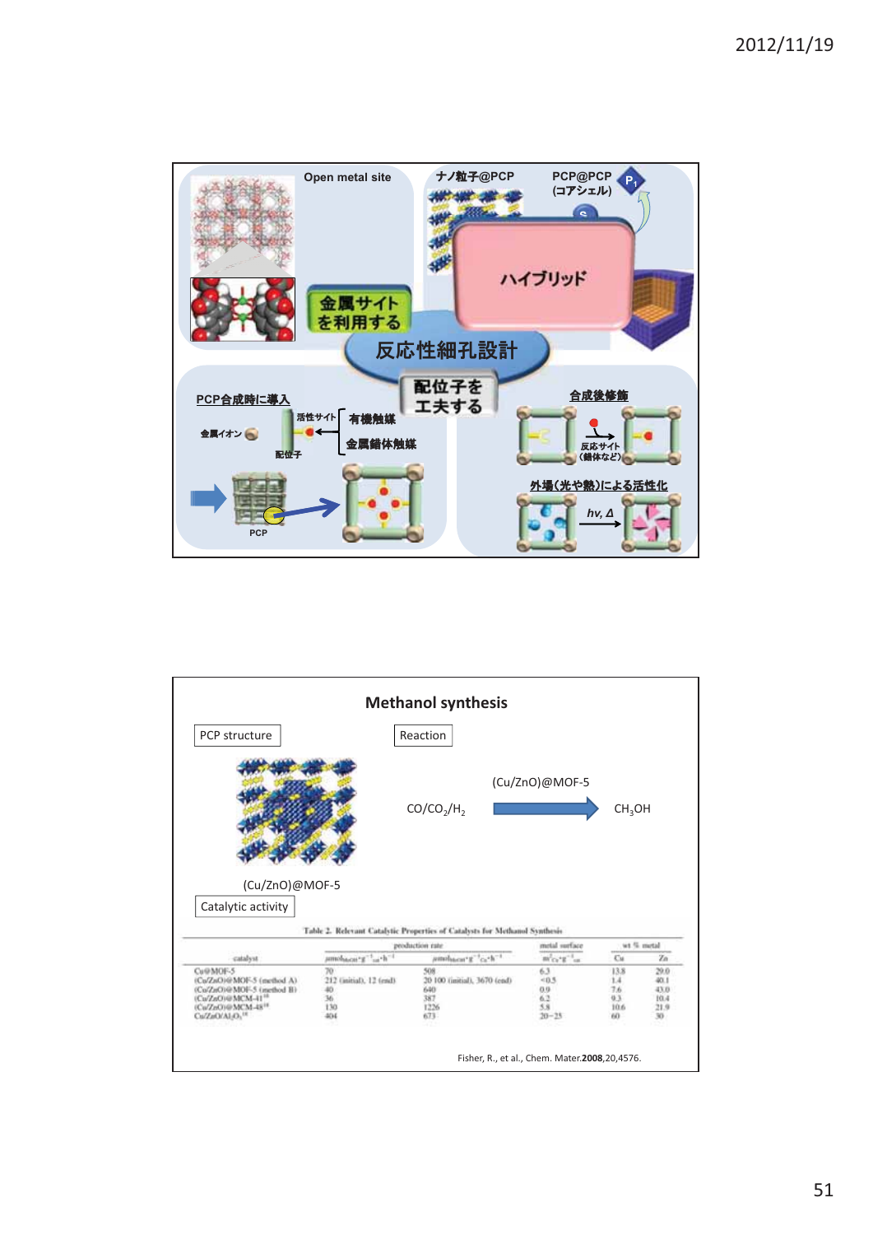

| PCP structure                        |                                           | Reaction                                                                   |                                        |                    |                              |
|--------------------------------------|-------------------------------------------|----------------------------------------------------------------------------|----------------------------------------|--------------------|------------------------------|
|                                      |                                           | CO/CO <sub>2</sub> /H <sub>2</sub>                                         | (Cu/ZnO)@MOF-5                         | CH <sub>3</sub> OH |                              |
| (Cu/ZnO)@MOF-5<br>Catalytic activity |                                           |                                                                            |                                        |                    |                              |
|                                      |                                           | Table 2. Relevant Catalytic Properties of Catalysts for Methanol Synthesis |                                        |                    |                              |
| catalyst                             | umoha.cu. x <sup>-1</sup> h <sup>-1</sup> | production rate<br>$\mu$ mducar g <sup>-1</sup> ca-h <sup>-1</sup>         | metal surface<br>$m'c_1$ , $n''$ , $n$ | Cu.                | wt % metal<br>$\mathbb{Z}^n$ |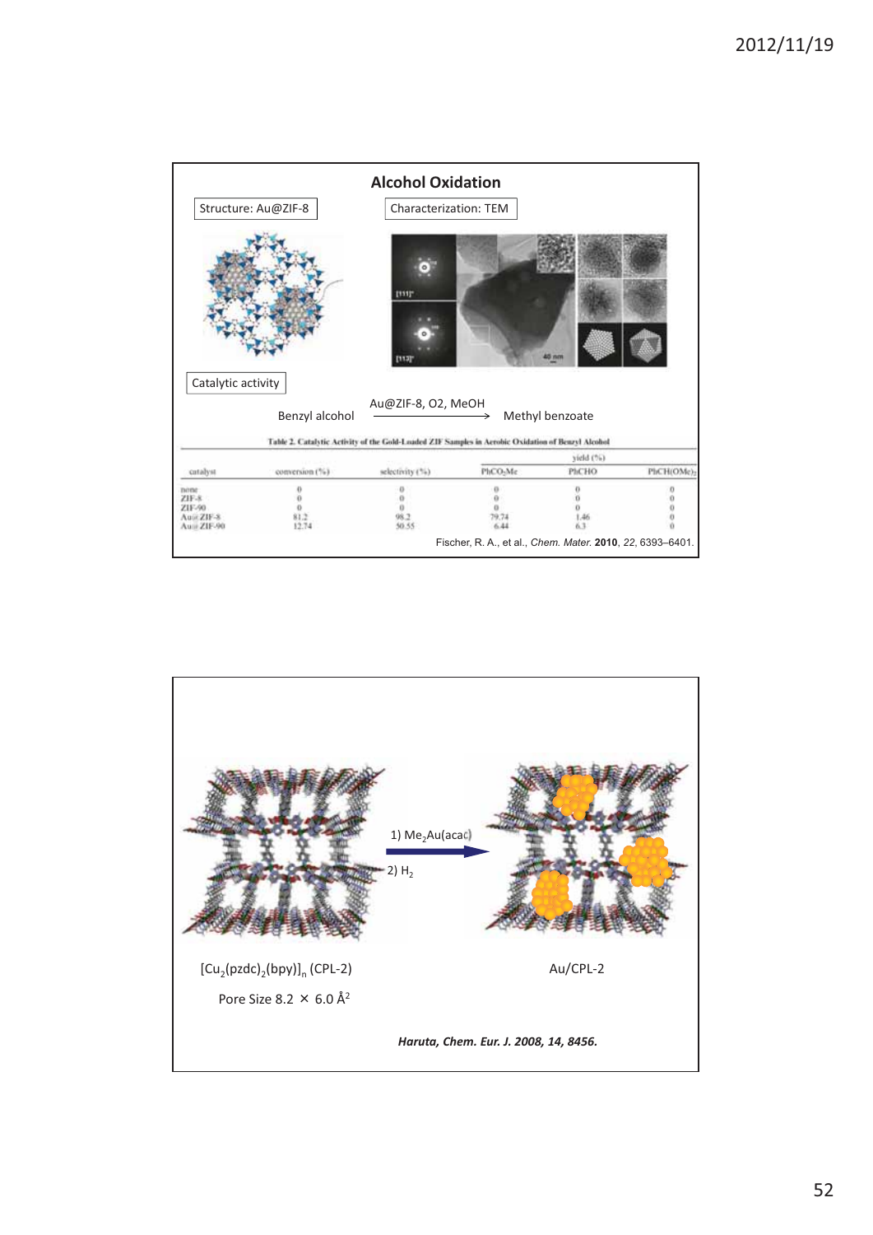|                                                                  | Structure: Au@ZIF-8             | <b>Alcohol Oxidation</b><br><b>Characterization: TEM</b>                                                                |                                                                                       |                     |            |
|------------------------------------------------------------------|---------------------------------|-------------------------------------------------------------------------------------------------------------------------|---------------------------------------------------------------------------------------|---------------------|------------|
|                                                                  |                                 | <b>ITIT</b>                                                                                                             |                                                                                       | $5 \text{ nm}$      |            |
| Catalytic activity                                               | Benzyl alcohol                  | Au@ZIF-8, O2, MeOH<br>Table 2. Catalytic Activity of the Gold-Loaded ZIF Samples in Acrobic Oxidation of Benzyl Alcohol |                                                                                       | Methyl benzoate     |            |
|                                                                  |                                 |                                                                                                                         |                                                                                       | vield (%).<br>PhCHO |            |
| catalyst<br>none<br>ZIF-8<br>ZIF-90<br>Aust ZIF-8<br>Aunt ZIF-90 | conversion (%)<br>81.2<br>12:74 | selectivity (%)<br>50.55                                                                                                | PhCO-Me<br>79.74<br>6.44<br>Fischer, R. A., et al., Chem. Mater. 2010, 22, 6393-6401. |                     | PhCH(OMe): |

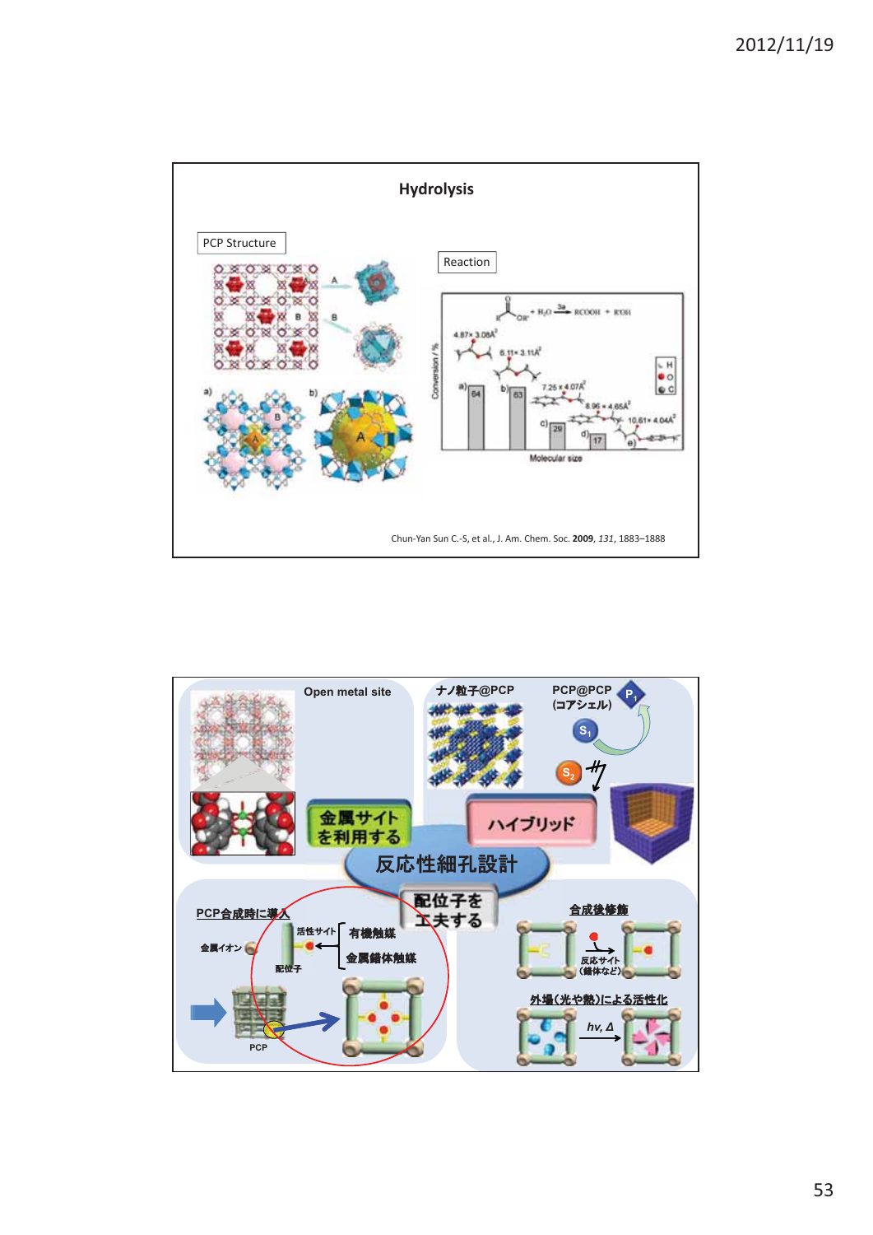

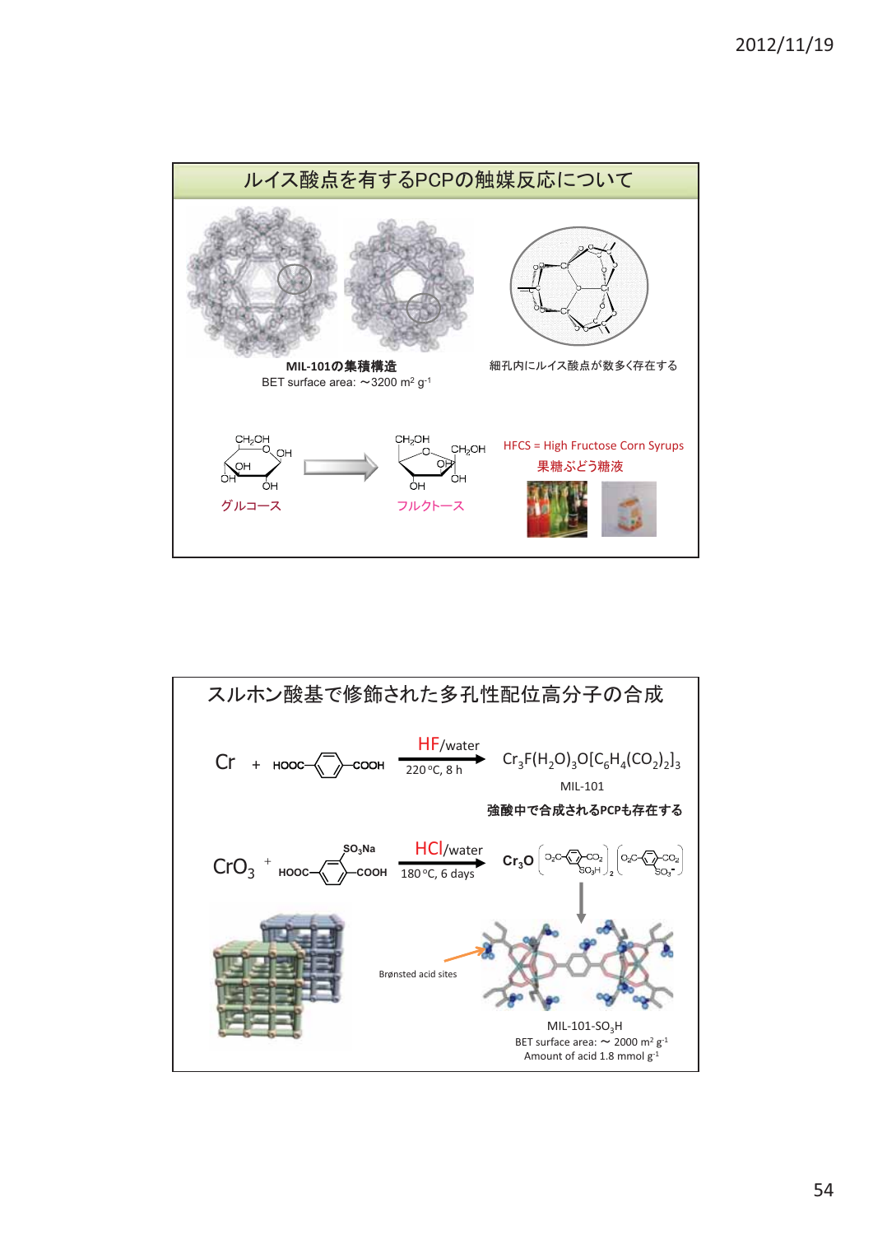